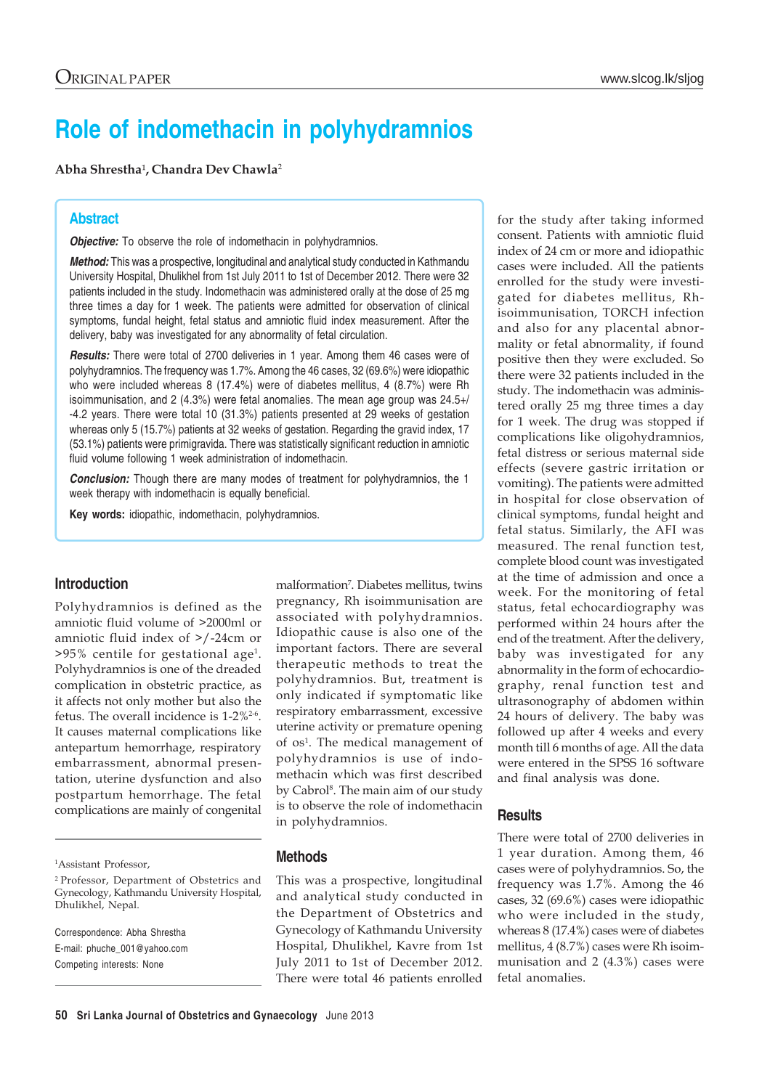# **Role of indomethacin in polyhydramnios**

**Abha Shrestha**¹**, Chandra Dev Chawla**<sup>2</sup>

### **Abstract**

*Objective:* To observe the role of indomethacin in polyhydramnios.

*Method:* This was a prospective, longitudinal and analytical study conducted in Kathmandu University Hospital, Dhulikhel from 1st July 2011 to 1st of December 2012. There were 32 patients included in the study. Indomethacin was administered orally at the dose of 25 mg three times a day for 1 week. The patients were admitted for observation of clinical symptoms, fundal height, fetal status and amniotic fluid index measurement. After the delivery, baby was investigated for any abnormality of fetal circulation.

*Results:* There were total of 2700 deliveries in 1 year. Among them 46 cases were of polyhydramnios. The frequency was 1.7%. Among the 46 cases, 32 (69.6%) were idiopathic who were included whereas 8 (17.4%) were of diabetes mellitus, 4 (8.7%) were Rh isoimmunisation, and 2 (4.3%) were fetal anomalies. The mean age group was 24.5+/ -4.2 years. There were total 10 (31.3%) patients presented at 29 weeks of gestation whereas only 5 (15.7%) patients at 32 weeks of gestation. Regarding the gravid index, 17 (53.1%) patients were primigravida. There was statistically significant reduction in amniotic fluid volume following 1 week administration of indomethacin.

**Conclusion:** Though there are many modes of treatment for polyhydramnios, the 1 week therapy with indomethacin is equally beneficial.

**Key words:** idiopathic, indomethacin, polyhydramnios.

#### **Introduction**

Polyhydramnios is defined as the amniotic fluid volume of >2000ml or amniotic fluid index of >/-24cm or  $>95\%$  centile for gestational age<sup>1</sup>. Polyhydramnios is one of the dreaded complication in obstetric practice, as it affects not only mother but also the fetus. The overall incidence is 1-2%2-6. It causes maternal complications like antepartum hemorrhage, respiratory embarrassment, abnormal presentation, uterine dysfunction and also postpartum hemorrhage. The fetal complications are mainly of congenital

1 Assistant Professor,

Correspondence: Abha Shrestha E-mail: phuche\_001@yahoo.com Competing interests: None

malformation7 . Diabetes mellitus, twins pregnancy, Rh isoimmunisation are associated with polyhydramnios. Idiopathic cause is also one of the important factors. There are several therapeutic methods to treat the polyhydramnios. But, treatment is only indicated if symptomatic like respiratory embarrassment, excessive uterine activity or premature opening of os<sup>1</sup>. The medical management of polyhydramnios is use of indomethacin which was first described by Cabrol<sup>8</sup>. The main aim of our study is to observe the role of indomethacin in polyhydramnios.

#### **Methods**

This was a prospective, longitudinal and analytical study conducted in the Department of Obstetrics and Gynecology of Kathmandu University Hospital, Dhulikhel, Kavre from 1st July 2011 to 1st of December 2012. There were total 46 patients enrolled for the study after taking informed consent. Patients with amniotic fluid index of 24 cm or more and idiopathic cases were included. All the patients enrolled for the study were investigated for diabetes mellitus, Rhisoimmunisation, TORCH infection and also for any placental abnormality or fetal abnormality, if found positive then they were excluded. So there were 32 patients included in the study. The indomethacin was administered orally 25 mg three times a day for 1 week. The drug was stopped if complications like oligohydramnios, fetal distress or serious maternal side effects (severe gastric irritation or vomiting). The patients were admitted in hospital for close observation of clinical symptoms, fundal height and fetal status. Similarly, the AFI was measured. The renal function test, complete blood count was investigated at the time of admission and once a week. For the monitoring of fetal status, fetal echocardiography was performed within 24 hours after the end of the treatment. After the delivery, baby was investigated for any abnormality in the form of echocardiography, renal function test and ultrasonography of abdomen within 24 hours of delivery. The baby was followed up after 4 weeks and every month till 6 months of age. All the data were entered in the SPSS 16 software and final analysis was done.

#### **Results**

There were total of 2700 deliveries in 1 year duration. Among them, 46 cases were of polyhydramnios. So, the frequency was 1.7%. Among the 46 cases, 32 (69.6%) cases were idiopathic who were included in the study, whereas 8 (17.4%) cases were of diabetes mellitus, 4 (8.7%) cases were Rh isoimmunisation and 2 (4.3%) cases were fetal anomalies.

<sup>2</sup> Professor, Department of Obstetrics and Gynecology, Kathmandu University Hospital, Dhulikhel, Nepal.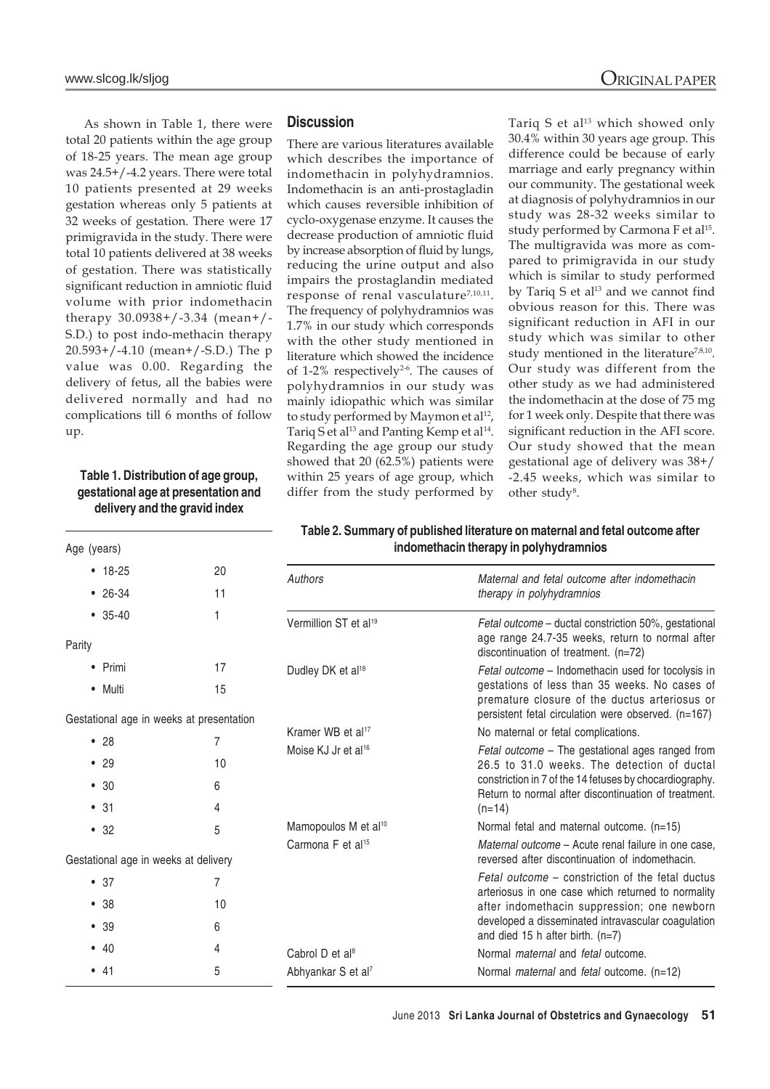As shown in Table 1, there were total 20 patients within the age group of 18-25 years. The mean age group was 24.5+/-4.2 years. There were total 10 patients presented at 29 weeks gestation whereas only 5 patients at 32 weeks of gestation. There were 17 primigravida in the study. There were total 10 patients delivered at 38 weeks of gestation. There was statistically significant reduction in amniotic fluid volume with prior indomethacin therapy 30.0938+/-3.34 (mean+/- S.D.) to post indo-methacin therapy 20.593+/-4.10 (mean+/-S.D.) The p value was 0.00. Regarding the delivery of fetus, all the babies were delivered normally and had no complications till 6 months of follow up.

## **Table 1. Distribution of age group, gestational age at presentation and**

**delivery and the gravid index**

Age (years)

#### **Discussion**

There are various literatures available which describes the importance of indomethacin in polyhydramnios. Indomethacin is an anti-prostagladin which causes reversible inhibition of cyclo-oxygenase enzyme. It causes the decrease production of amniotic fluid by increase absorption of fluid by lungs, reducing the urine output and also impairs the prostaglandin mediated response of renal vasculature<sup>7,10,11</sup>. The frequency of polyhydramnios was 1.7% in our study which corresponds with the other study mentioned in literature which showed the incidence of 1-2% respectively<sup>2-6</sup>. The causes of polyhydramnios in our study was mainly idiopathic which was similar to study performed by Maymon et al<sup>12</sup>, Tariq S et al<sup>13</sup> and Panting Kemp et al<sup>14</sup>. Regarding the age group our study showed that 20 (62.5%) patients were within 25 years of age group, which differ from the study performed by

Tariq S et al<sup>13</sup> which showed only 30.4% within 30 years age group. This difference could be because of early marriage and early pregnancy within our community. The gestational week at diagnosis of polyhydramnios in our study was 28-32 weeks similar to study performed by Carmona F et al<sup>15</sup>. The multigravida was more as compared to primigravida in our study which is similar to study performed by Tariq S et al<sup>13</sup> and we cannot find obvious reason for this. There was significant reduction in AFI in our study which was similar to other study mentioned in the literature<sup>7,8,10</sup>. Our study was different from the other study as we had administered

the indomethacin at the dose of 75 mg for 1 week only. Despite that there was significant reduction in the AFI score. Our study showed that the mean gestational age of delivery was 38+/ -2.45 weeks, which was similar to other study<sup>8</sup>.

#### **Table 2. Summary of published literature on maternal and fetal outcome after indomethacin therapy in polyhydramnios**

| $• 18-25$                                | 20 | Authors                           | Maternal and fetal outcome after indomethacin                                                                                                         |
|------------------------------------------|----|-----------------------------------|-------------------------------------------------------------------------------------------------------------------------------------------------------|
| $• 26-34$                                | 11 |                                   | therapy in polyhydramnios                                                                                                                             |
| $• 35-40$                                | 1  | Vermillion ST et al <sup>19</sup> | Fetal outcome - ductal constriction 50%, gestational<br>age range 24.7-35 weeks, return to normal after                                               |
| Parity                                   |    |                                   | discontinuation of treatment. (n=72)                                                                                                                  |
| • Primi                                  | 17 | Dudley DK et al <sup>18</sup>     | Fetal outcome – Indomethacin used for tocolysis in                                                                                                    |
| • Multi                                  | 15 |                                   | gestations of less than 35 weeks. No cases of<br>premature closure of the ductus arteriosus or<br>persistent fetal circulation were observed. (n=167) |
| Gestational age in weeks at presentation |    | Kramer WB et al <sup>17</sup>     | No maternal or fetal complications.                                                                                                                   |
| •28                                      | 7  | Moise KJ Jr et al <sup>16</sup>   |                                                                                                                                                       |
| $\bullet$ 29                             | 10 |                                   | Fetal outcome – The gestational ages ranged from<br>26.5 to 31.0 weeks. The detection of ductal                                                       |
| $\bullet$ 30                             | 6  |                                   | constriction in 7 of the 14 fetuses by chocardiography.<br>Return to normal after discontinuation of treatment.<br>$(n=14)$                           |
| • 31                                     | 4  |                                   |                                                                                                                                                       |
| • 32                                     | 5  | Mamopoulos M et al <sup>10</sup>  | Normal fetal and maternal outcome. (n=15)                                                                                                             |
| Gestational age in weeks at delivery     |    | Carmona F et al <sup>15</sup>     | Maternal outcome - Acute renal failure in one case,<br>reversed after discontinuation of indomethacin.                                                |
| $\bullet$ 37                             | 7  |                                   | Fetal outcome – constriction of the fetal ductus<br>arteriosus in one case which returned to normality                                                |
| • 38                                     | 10 |                                   | after indomethacin suppression; one newborn<br>developed a disseminated intravascular coagulation<br>and died 15 h after birth. $(n=7)$               |
| • 39                                     | 6  |                                   |                                                                                                                                                       |
| • 40                                     | 4  | Cabrol D et al <sup>8</sup>       | Normal <i>maternal</i> and <i>fetal</i> outcome.                                                                                                      |
| • 41                                     | 5  | Abhyankar S et al <sup>7</sup>    | Normal <i>maternal</i> and <i>fetal</i> outcome. (n=12)                                                                                               |